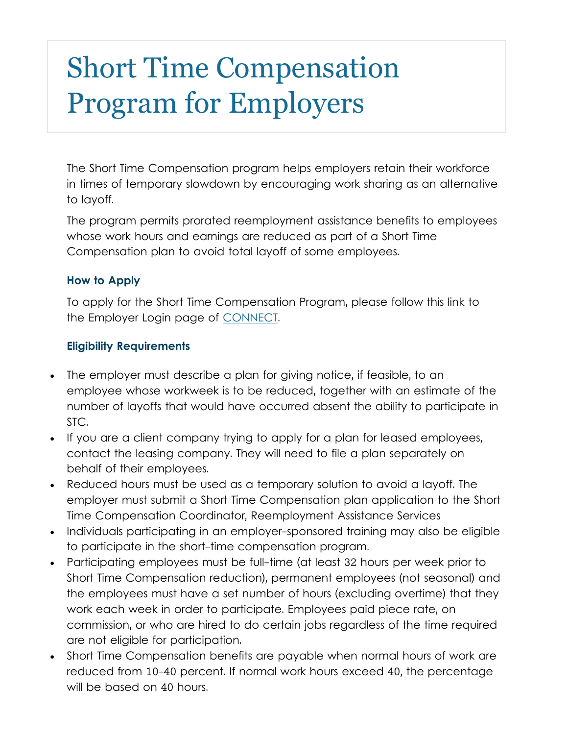# Short Time Compensation Program for Employers

The Short Time Compensation program helps employers retain their workforce in times of temporary slowdown by encouraging work sharing as an alternative to layoff.

The program permits prorated reemployment assistance benefits to employees whose work hours and earnings are reduced as part of a Short Time Compensation plan to avoid total layoff of some employees.

#### **How to Apply**

To apply for the Short Time Compensation Program, please follow this link to the Employer Login page of [CONNECT.](https://connect.myflorida.com/Employer/Core/Login.ASPX)

#### **Eligibility Requirements**

- The employer must describe a plan for giving notice, if feasible, to an employee whose workweek is to be reduced, together with an estimate of the number of layoffs that would have occurred absent the ability to participate in STC.
- If you are a client company trying to apply for a plan for leased employees, contact the leasing company. They will need to file a plan separately on behalf of their employees.
- Reduced hours must be used as a temporary solution to avoid a layoff. The employer must submit a Short Time Compensation plan application to the Short Time Compensation Coordinator, Reemployment Assistance Services
- Individuals participating in an employer-sponsored training may also be eligible to participate in the short-time compensation program.
- Participating employees must be full-time (at least 32 hours per week prior to Short Time Compensation reduction), permanent employees (not seasonal) and the employees must have a set number of hours (excluding overtime) that they work each week in order to participate. Employees paid piece rate, on commission, or who are hired to do certain jobs regardless of the time required are not eligible for participation.
- Short Time Compensation benefits are payable when normal hours of work are reduced from 10-40 percent. If normal work hours exceed 40, the percentage will be based on 40 hours.